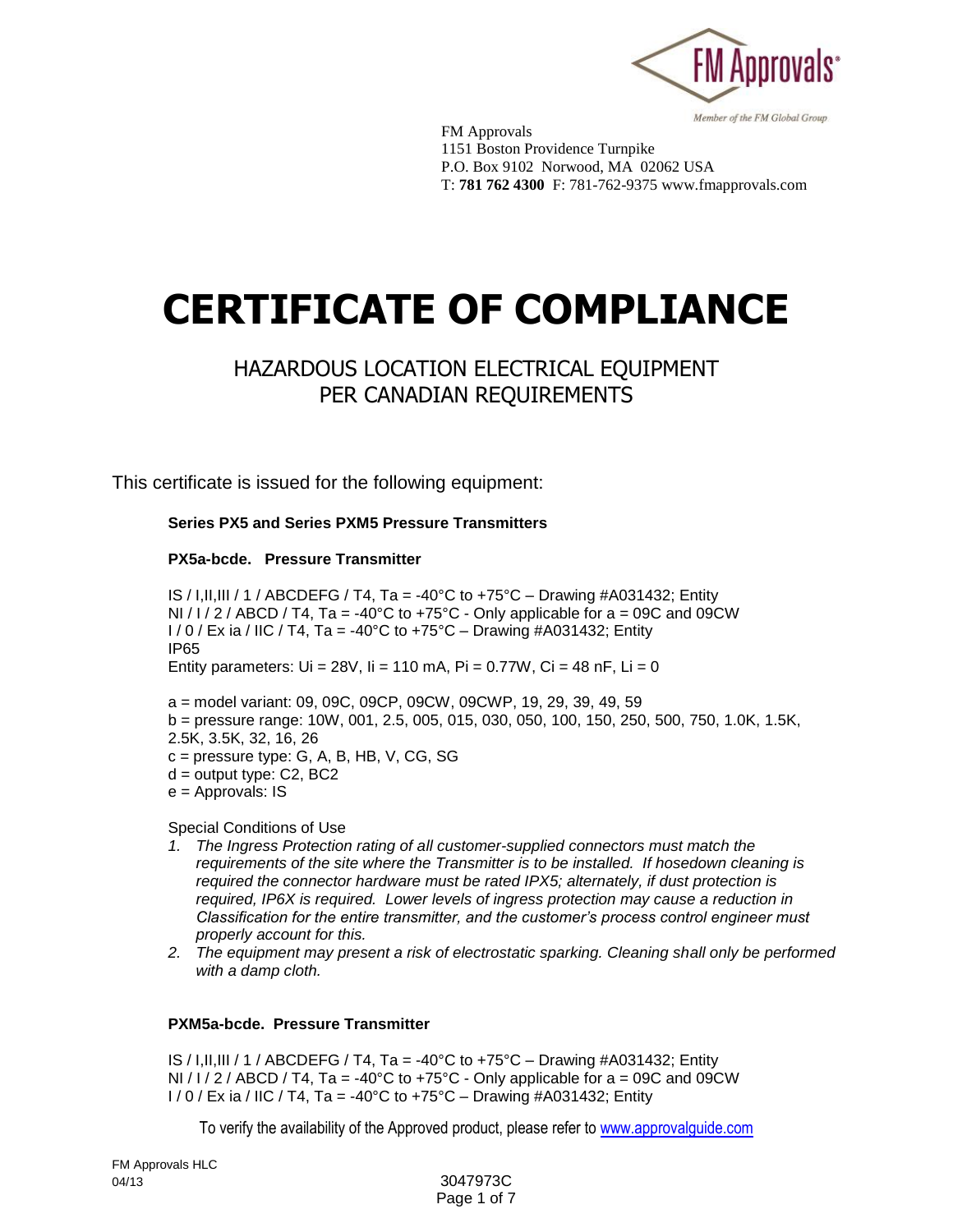

Member of the FM Global Group

FM Approvals 1151 Boston Providence Turnpike P.O. Box 9102 Norwood, MA 02062 USA T: **781 762 4300** F: 781-762-9375 www.fmapprovals.com

# **CERTIFICATE OF COMPLIANCE**

## HAZARDOUS LOCATION ELECTRICAL EQUIPMENT PER CANADIAN REQUIREMENTS

This certificate is issued for the following equipment:

**Series PX5 and Series PXM5 Pressure Transmitters**

#### **PX5a-bcde. Pressure Transmitter**

IS / I, II, III / 1 / ABCDEFG / T4, Ta =  $-40^{\circ}$ C to  $+75^{\circ}$ C – Drawing #A031432; Entity NI /  $1/2$  / ABCD / T4, Ta = -40°C to +75°C - Only applicable for a = 09C and 09CW  $1/0$  / Ex ia / IIC / T4, Ta = -40°C to +75°C – Drawing #A031432; Entity IP65 Entity parameters:  $Ui = 28V$ ,  $ii = 110$  mA,  $Pi = 0.77W$ ,  $Ci = 48$  nF,  $Li = 0$ 

a = model variant: 09, 09C, 09CP, 09CW, 09CWP, 19, 29, 39, 49, 59 b = pressure range: 10W, 001, 2.5, 005, 015, 030, 050, 100, 150, 250, 500, 750, 1.0K, 1.5K, 2.5K, 3.5K, 32, 16, 26 c = pressure type: G, A, B, HB, V, CG, SG  $d =$  output type:  $C2$ ,  $BC2$ 

 $e =$  Approvals: IS

Special Conditions of Use

- *1. The Ingress Protection rating of all customer-supplied connectors must match the requirements of the site where the Transmitter is to be installed. If hosedown cleaning is required the connector hardware must be rated IPX5; alternately, if dust protection is required, IP6X is required. Lower levels of ingress protection may cause a reduction in Classification for the entire transmitter, and the customer's process control engineer must properly account for this.*
- *2. The equipment may present a risk of electrostatic sparking. Cleaning shall only be performed with a damp cloth.*

#### **PXM5a-bcde. Pressure Transmitter**

IS / I,II,III / 1 / ABCDEFG / T4, Ta = -40°C to +75°C – Drawing #A031432; Entity NI /  $1/2$  / ABCD / T4, Ta = -40°C to +75°C - Only applicable for a = 09C and 09CW  $1/0$  / Ex ia / IIC / T4, Ta = -40°C to +75°C – Drawing #A031432; Entity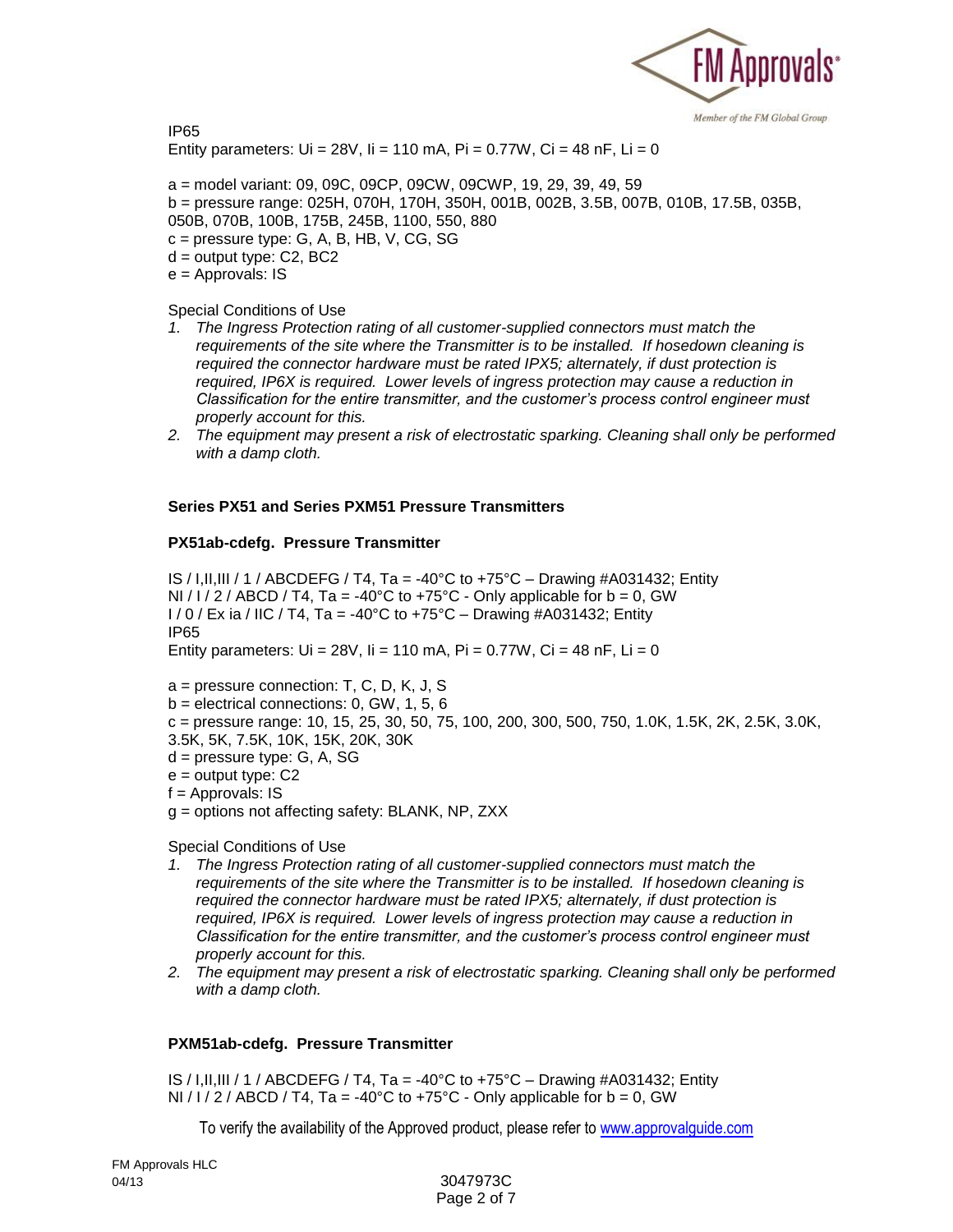

IP65 Entity parameters:  $Ui = 28V$ ,  $I = 110$  mA,  $Pi = 0.77W$ ,  $Ci = 48$  nF,  $Li = 0$ 

a = model variant: 09, 09C, 09CP, 09CW, 09CWP, 19, 29, 39, 49, 59 b = pressure range: 025H, 070H, 170H, 350H, 001B, 002B, 3.5B, 007B, 010B, 17.5B, 035B, 050B, 070B, 100B, 175B, 245B, 1100, 550, 880  $c =$  pressure type: G, A, B, HB, V, CG, SG  $d =$  output type:  $C2$ ,  $BC2$ e = Approvals: IS

Special Conditions of Use

- *1. The Ingress Protection rating of all customer-supplied connectors must match the requirements of the site where the Transmitter is to be installed. If hosedown cleaning is required the connector hardware must be rated IPX5; alternately, if dust protection is required, IP6X is required. Lower levels of ingress protection may cause a reduction in Classification for the entire transmitter, and the customer's process control engineer must properly account for this.*
- *2. The equipment may present a risk of electrostatic sparking. Cleaning shall only be performed with a damp cloth.*

#### **Series PX51 and Series PXM51 Pressure Transmitters**

#### **PX51ab-cdefg. Pressure Transmitter**

IS / I, II, III / 1 / ABCDEFG / T4, Ta =  $-40^{\circ}$ C to  $+75^{\circ}$ C – Drawing #A031432; Entity NI / I / 2 / ABCD / T4, Ta = -40°C to +75°C - Only applicable for  $b = 0$ , GW  $1/0$  / Ex ia / IIC / T4, Ta = -40°C to +75°C – Drawing #A031432; Entity IP65 Entity parameters:  $Ui = 28V$ ,  $I = 110$  mA,  $Pi = 0.77W$ ,  $Ci = 48$  nF,  $Li = 0$ 

a = pressure connection: T, C, D, K, J, S

 $b =$  electrical connections: 0, GW, 1, 5, 6

c = pressure range: 10, 15, 25, 30, 50, 75, 100, 200, 300, 500, 750, 1.0K, 1.5K, 2K, 2.5K, 3.0K, 3.5K, 5K, 7.5K, 10K, 15K, 20K, 30K

- d = pressure type: G, A, SG
- $e =$  output type:  $C2$

f = Approvals: IS

g = options not affecting safety: BLANK, NP, ZXX

Special Conditions of Use

- *1. The Ingress Protection rating of all customer-supplied connectors must match the requirements of the site where the Transmitter is to be installed. If hosedown cleaning is required the connector hardware must be rated IPX5; alternately, if dust protection is required, IP6X is required. Lower levels of ingress protection may cause a reduction in Classification for the entire transmitter, and the customer's process control engineer must properly account for this.*
- *2. The equipment may present a risk of electrostatic sparking. Cleaning shall only be performed with a damp cloth.*

#### **PXM51ab-cdefg. Pressure Transmitter**

IS / I, II, III / 1 / ABCDEFG / T4, Ta =  $-40^{\circ}$ C to  $+75^{\circ}$ C – Drawing #A031432; Entity NI /  $1/2$  / ABCD / T4, Ta = -40°C to +75°C - Only applicable for b = 0, GW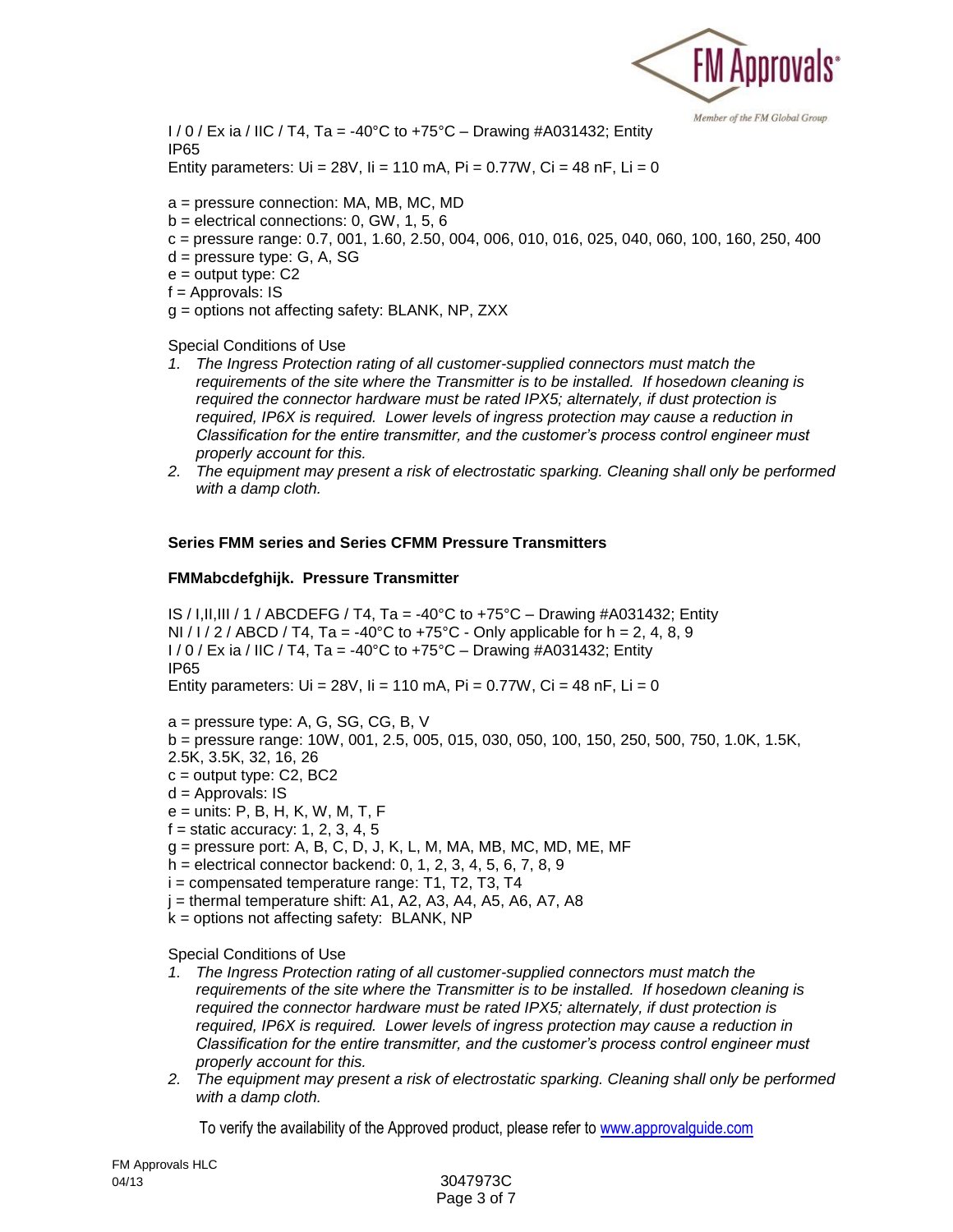

 $1/0$  / Ex ia / IIC / T4, Ta = -40°C to +75°C – Drawing #A031432; Entity IP65 Entity parameters:  $Ui = 28V$ ,  $ii = 110$  mA,  $Pi = 0.77W$ ,  $Ci = 48$  nF,  $Li = 0$ 

- a = pressure connection: MA, MB, MC, MD
- $b =$  electrical connections: 0, GW, 1, 5, 6
- $c =$  pressure range: 0.7, 001, 1.60, 2.50, 004, 006, 010, 016, 025, 040, 060, 100, 160, 250, 400
- d = pressure type: G, A, SG
- $e =$  output type:  $C2$
- $f =$  Approvals: IS
- g = options not affecting safety: BLANK, NP, ZXX

Special Conditions of Use

- *1. The Ingress Protection rating of all customer-supplied connectors must match the requirements of the site where the Transmitter is to be installed. If hosedown cleaning is required the connector hardware must be rated IPX5; alternately, if dust protection is required, IP6X is required. Lower levels of ingress protection may cause a reduction in Classification for the entire transmitter, and the customer's process control engineer must properly account for this.*
- *2. The equipment may present a risk of electrostatic sparking. Cleaning shall only be performed with a damp cloth.*

#### **Series FMM series and Series CFMM Pressure Transmitters**

#### **FMMabcdefghijk. Pressure Transmitter**

IS / I, II, III / 1 / ABCDEFG / T4, Ta = -40°C to +75°C – Drawing #A031432; Entity NI / I / 2 / ABCD / T4, Ta = -40°C to +75°C - Only applicable for  $h = 2, 4, 8, 9$  $1/0$  / Ex ia / IIC / T4, Ta = -40°C to +75°C – Drawing #A031432; Entity IP65 Entity parameters:  $Ui = 28V$ ,  $I = 110$  mA,  $Pi = 0.77W$ ,  $Ci = 48$  nF,  $Li = 0$ 

a = pressure type: A, G, SG, CG, B, V

b = pressure range: 10W, 001, 2.5, 005, 015, 030, 050, 100, 150, 250, 500, 750, 1.0K, 1.5K,

- 2.5K, 3.5K, 32, 16, 26
- $c =$  output type:  $C2$ ,  $BC2$
- d = Approvals: IS
- e = units: P, B, H, K, W, M, T, F
- $f =$  static accuracy: 1, 2, 3, 4, 5
- g = pressure port: A, B, C, D, J, K, L, M, MA, MB, MC, MD, ME, MF
- h = electrical connector backend: 0, 1, 2, 3, 4, 5, 6, 7, 8, 9
- $i =$  compensated temperature range: T1, T2, T3, T4
- $j =$  thermal temperature shift: A1, A2, A3, A4, A5, A6, A7, A8
- $k =$  options not affecting safety: BLANK, NP

Special Conditions of Use

- *1. The Ingress Protection rating of all customer-supplied connectors must match the requirements of the site where the Transmitter is to be installed. If hosedown cleaning is required the connector hardware must be rated IPX5; alternately, if dust protection is required, IP6X is required. Lower levels of ingress protection may cause a reduction in Classification for the entire transmitter, and the customer's process control engineer must properly account for this.*
- *2. The equipment may present a risk of electrostatic sparking. Cleaning shall only be performed with a damp cloth.*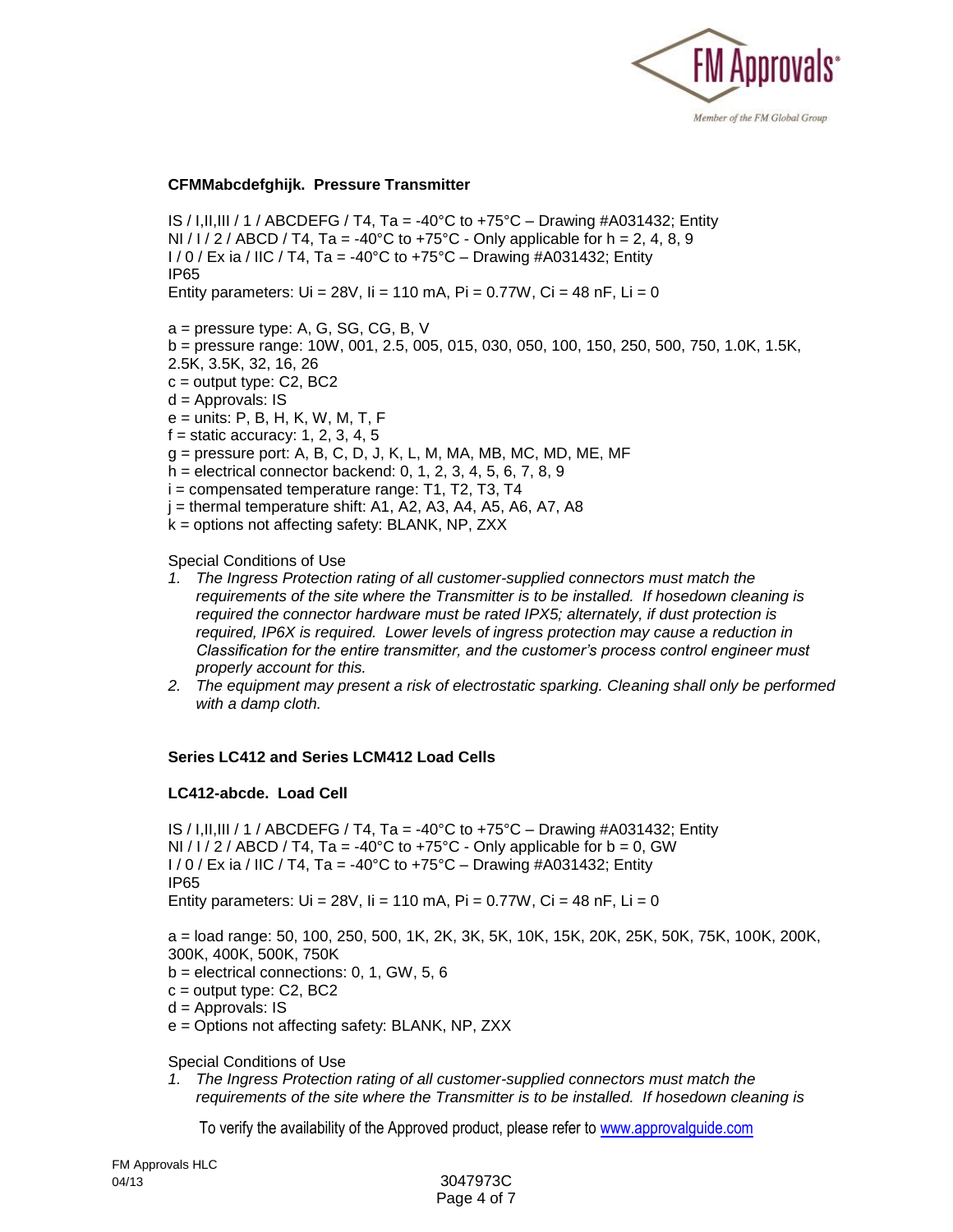

#### **CFMMabcdefghijk. Pressure Transmitter**

IS / I, II, III / 1 / ABCDEFG / T4, Ta = -40°C to +75°C – Drawing #A031432; Entity NI / I / 2 / ABCD / T4, Ta = -40°C to +75°C - Only applicable for  $h = 2, 4, 8, 9$ I / 0 / Ex ia / IIC / T4, Ta = -40°C to +75°C – Drawing #A031432; Entity IP65

Entity parameters:  $Ui = 28V$ ,  $I = 110$  mA,  $Pi = 0.77W$ ,  $Ci = 48$  nF,  $Li = 0$ 

a = pressure type: A, G, SG, CG, B, V

- b = pressure range: 10W, 001, 2.5, 005, 015, 030, 050, 100, 150, 250, 500, 750, 1.0K, 1.5K,
- 2.5K, 3.5K, 32, 16, 26
- $c =$  output type:  $C2$ , BC2
- d = Approvals: IS
- e = units: P, B, H, K, W, M, T, F
- $f =$  static accuracy: 1, 2, 3, 4, 5
- $g =$  pressure port: A, B, C, D, J, K, L, M, MA, MB, MC, MD, ME, MF
- h = electrical connector backend: 0, 1, 2, 3, 4, 5, 6, 7, 8, 9
- $i =$  compensated temperature range: T1, T2, T3, T4
- $j =$  thermal temperature shift: A1, A2, A3, A4, A5, A6, A7, A8
- k = options not affecting safety: BLANK, NP, ZXX

Special Conditions of Use

- *1. The Ingress Protection rating of all customer-supplied connectors must match the requirements of the site where the Transmitter is to be installed. If hosedown cleaning is required the connector hardware must be rated IPX5; alternately, if dust protection is required, IP6X is required. Lower levels of ingress protection may cause a reduction in Classification for the entire transmitter, and the customer's process control engineer must properly account for this.*
- *2. The equipment may present a risk of electrostatic sparking. Cleaning shall only be performed with a damp cloth.*

#### **Series LC412 and Series LCM412 Load Cells**

#### **LC412-abcde. Load Cell**

IS / I, II, III / 1 / ABCDEFG / T4, Ta = -40°C to +75°C – Drawing #A031432; Entity NI / I / 2 / ABCD / T4, Ta = -40°C to +75°C - Only applicable for  $b = 0$ , GW  $1/0$  / Ex ia / IIC / T4, Ta = -40°C to +75°C – Drawing #A031432; Entity IP65 Entity parameters:  $Ui = 28V$ ,  $I = 110$  mA,  $Pi = 0.77W$ ,  $Ci = 48$  nF,  $Li = 0$ 

a = load range: 50, 100, 250, 500, 1K, 2K, 3K, 5K, 10K, 15K, 20K, 25K, 50K, 75K, 100K, 200K, 300K, 400K, 500K, 750K

- $b =$  electrical connections: 0, 1, GW, 5, 6
- $c =$  output type:  $C2$ , BC2
- d = Approvals: IS
- e = Options not affecting safety: BLANK, NP, ZXX

Special Conditions of Use

*1. The Ingress Protection rating of all customer-supplied connectors must match the requirements of the site where the Transmitter is to be installed. If hosedown cleaning is*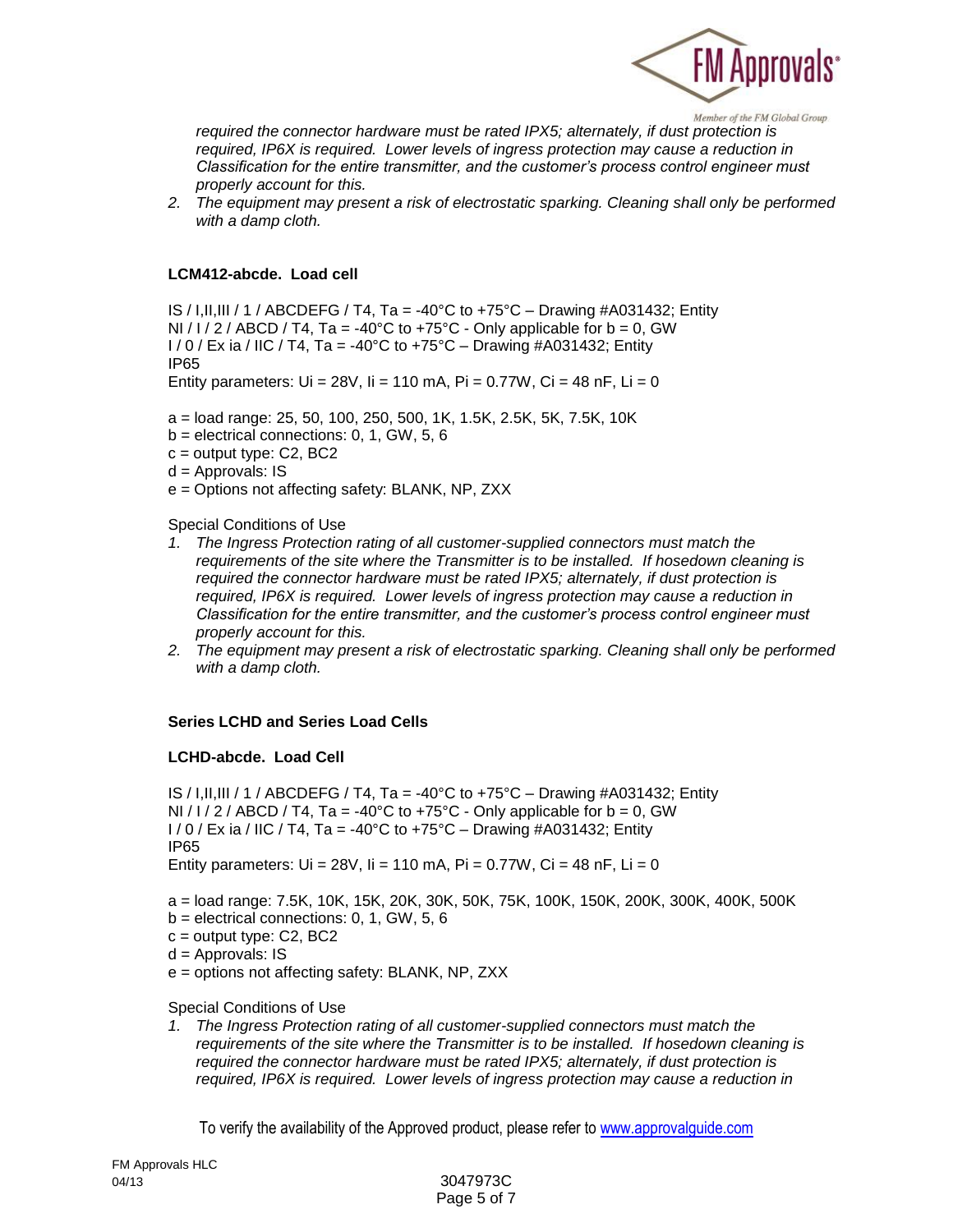

*required the connector hardware must be rated IPX5; alternately, if dust protection is required, IP6X is required. Lower levels of ingress protection may cause a reduction in Classification for the entire transmitter, and the customer's process control engineer must properly account for this.*

*2. The equipment may present a risk of electrostatic sparking. Cleaning shall only be performed with a damp cloth.*

#### **LCM412-abcde. Load cell**

IS / I, II, III / 1 / ABCDEFG / T4, Ta = -40°C to +75°C – Drawing #A031432; Entity NI /  $1/2$  / ABCD / T4, Ta = -40°C to +75°C - Only applicable for b = 0, GW  $1/0$  / Ex ia / IIC / T4, Ta = -40°C to +75°C – Drawing #A031432; Entity IP65 Entity parameters:  $Ui = 28V$ ,  $ii = 110$  mA,  $Pi = 0.77W$ ,  $Ci = 48$  nF,  $Li = 0$ 

a = load range: 25, 50, 100, 250, 500, 1K, 1.5K, 2.5K, 5K, 7.5K, 10K

- $b =$  electrical connections: 0, 1, GW, 5, 6
- $c =$  output type:  $C2$ ,  $BC2$
- $d =$  Approvals: IS
- e = Options not affecting safety: BLANK, NP, ZXX

Special Conditions of Use

- *1. The Ingress Protection rating of all customer-supplied connectors must match the requirements of the site where the Transmitter is to be installed. If hosedown cleaning is required the connector hardware must be rated IPX5; alternately, if dust protection is required, IP6X is required. Lower levels of ingress protection may cause a reduction in Classification for the entire transmitter, and the customer's process control engineer must properly account for this.*
- *2. The equipment may present a risk of electrostatic sparking. Cleaning shall only be performed with a damp cloth.*

#### **Series LCHD and Series Load Cells**

#### **LCHD-abcde. Load Cell**

IS / I,II,III / 1 / ABCDEFG / T4, Ta = -40°C to +75°C – Drawing #A031432; Entity NI / I / 2 / ABCD / T4, Ta = -40°C to +75°C - Only applicable for  $b = 0$ , GW  $1/0$  / Ex ia / IIC / T4, Ta = -40°C to +75°C – Drawing #A031432; Entity IP65 Entity parameters:  $Ui = 28V$ ,  $I = 110$  mA,  $Pi = 0.77W$ ,  $Ci = 48$  nF,  $Li = 0$ 

a = load range: 7.5K, 10K, 15K, 20K, 30K, 50K, 75K, 100K, 150K, 200K, 300K, 400K, 500K

- $b =$  electrical connections: 0, 1, GW, 5, 6
- $c =$  output type:  $C2$ , BC2
- $d =$  Approvals: IS
- e = options not affecting safety: BLANK, NP, ZXX

Special Conditions of Use

*1. The Ingress Protection rating of all customer-supplied connectors must match the requirements of the site where the Transmitter is to be installed. If hosedown cleaning is required the connector hardware must be rated IPX5; alternately, if dust protection is required, IP6X is required. Lower levels of ingress protection may cause a reduction in*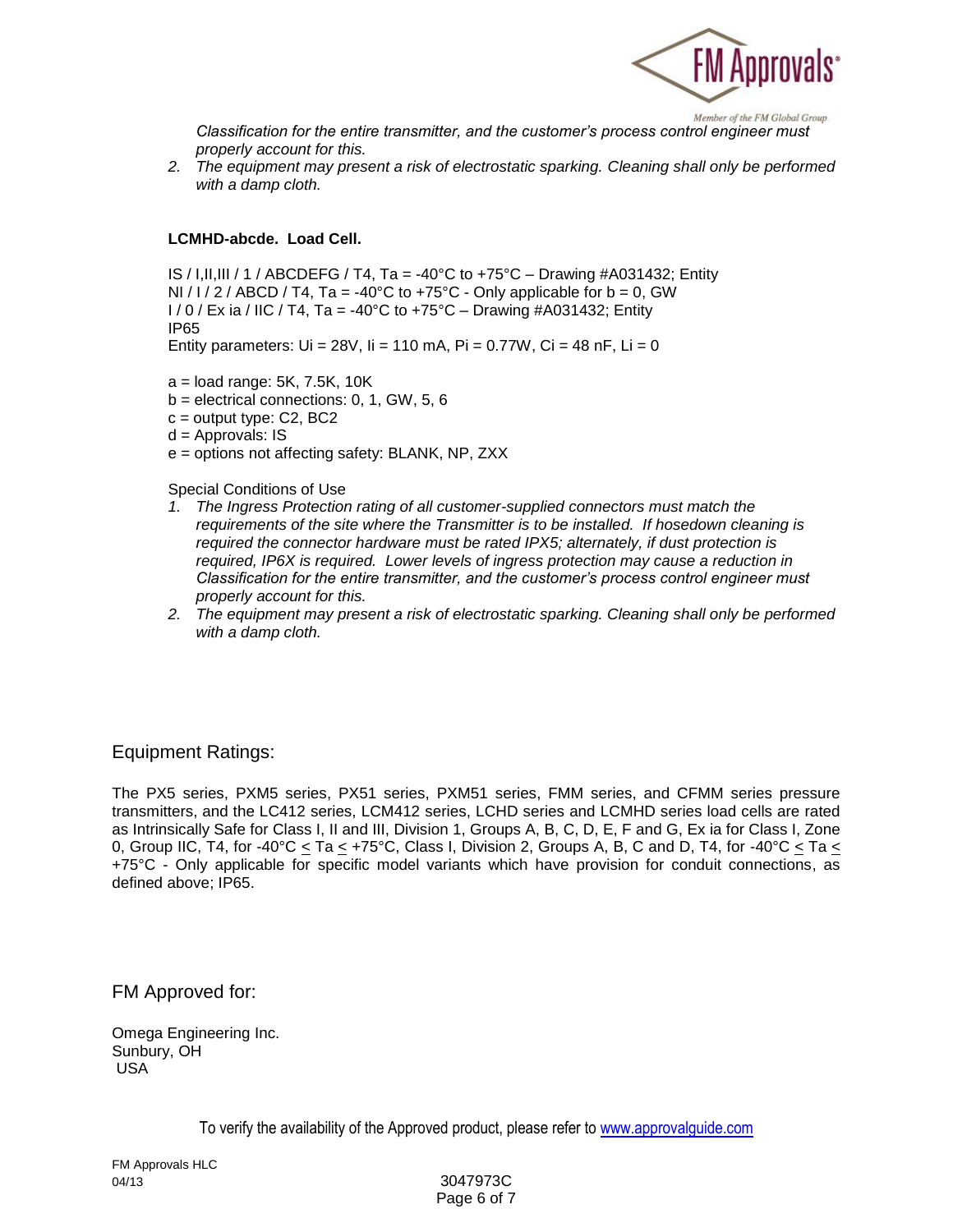

*Classification for the entire transmitter, and the customer's process control engineer must properly account for this.*

*2. The equipment may present a risk of electrostatic sparking. Cleaning shall only be performed with a damp cloth.*

#### **LCMHD-abcde. Load Cell.**

IS / I, II, III / 1 / ABCDEFG / T4, Ta = -40°C to +75°C – Drawing #A031432; Entity NI / I / 2 / ABCD / T4, Ta = -40°C to +75°C - Only applicable for  $b = 0$ , GW  $1/0$  / Ex ia / IIC / T4, Ta = -40°C to +75°C – Drawing #A031432; Entity IP65 Entity parameters:  $Ui = 28V$ ,  $I = 110$  mA,  $Pi = 0.77W$ ,  $Ci = 48$  nF,  $Li = 0$ 

a = load range: 5K, 7.5K, 10K

- $b =$  electrical connections: 0, 1, GW, 5, 6
- $c =$  output type:  $C2$ , BC2
- $d =$  Approvals: IS
- e = options not affecting safety: BLANK, NP, ZXX

Special Conditions of Use

- *1. The Ingress Protection rating of all customer-supplied connectors must match the requirements of the site where the Transmitter is to be installed. If hosedown cleaning is required the connector hardware must be rated IPX5; alternately, if dust protection is required, IP6X is required. Lower levels of ingress protection may cause a reduction in Classification for the entire transmitter, and the customer's process control engineer must properly account for this.*
- *2. The equipment may present a risk of electrostatic sparking. Cleaning shall only be performed with a damp cloth.*

### Equipment Ratings:

The PX5 series, PXM5 series, PX51 series, PXM51 series, FMM series, and CFMM series pressure transmitters, and the LC412 series, LCM412 series, LCHD series and LCMHD series load cells are rated as Intrinsically Safe for Class I, II and III, Division 1, Groups A, B, C, D, E, F and G, Ex ia for Class I, Zone 0, Group IIC, T4, for -40°C  $\leq$  Ta  $\leq$  +75°C, Class I, Division 2, Groups A, B, C and D, T4, for -40°C  $\leq$  Ta  $\leq$ +75°C - Only applicable for specific model variants which have provision for conduit connections, as defined above; IP65.

FM Approved for:

Omega Engineering Inc. Sunbury, OH USA